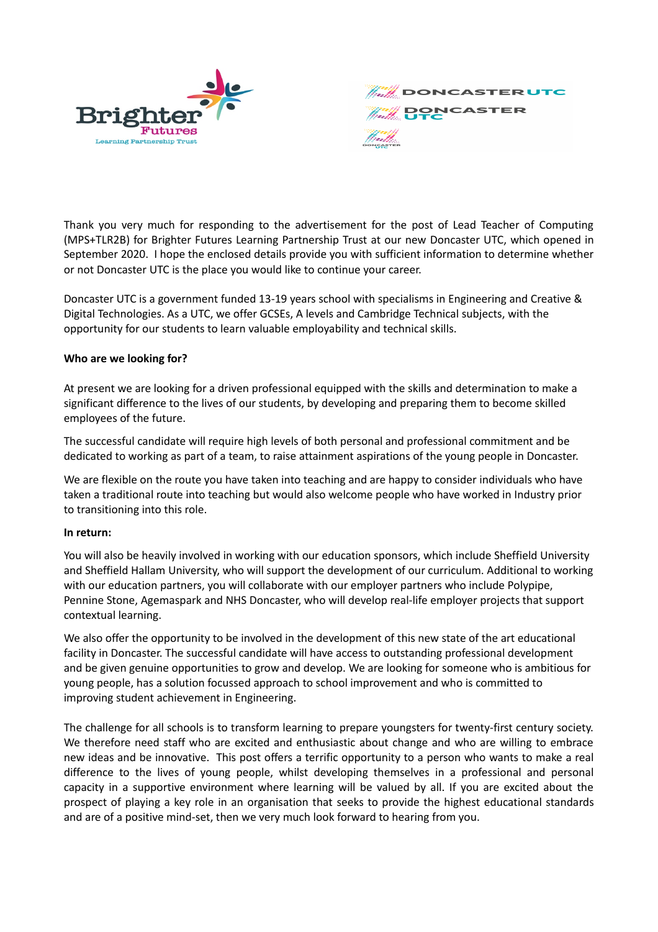



Thank you very much for responding to the advertisement for the post of Lead Teacher of Computing (MPS+TLR2B) for Brighter Futures Learning Partnership Trust at our new Doncaster UTC, which opened in September 2020. I hope the enclosed details provide you with sufficient information to determine whether or not Doncaster UTC is the place you would like to continue your career.

Doncaster UTC is a government funded 13-19 years school with specialisms in Engineering and Creative & Digital Technologies. As a UTC, we offer GCSEs, A levels and Cambridge Technical subjects, with the opportunity for our students to learn valuable employability and technical skills.

## **Who are we looking for?**

At present we are looking for a driven professional equipped with the skills and determination to make a significant difference to the lives of our students, by developing and preparing them to become skilled employees of the future.

The successful candidate will require high levels of both personal and professional commitment and be dedicated to working as part of a team, to raise attainment aspirations of the young people in Doncaster.

We are flexible on the route you have taken into teaching and are happy to consider individuals who have taken a traditional route into teaching but would also welcome people who have worked in Industry prior to transitioning into this role.

## **In return:**

You will also be heavily involved in working with our education sponsors, which include Sheffield University and Sheffield Hallam University, who will support the development of our curriculum. Additional to working with our education partners, you will collaborate with our employer partners who include Polypipe, Pennine Stone, Agemaspark and NHS Doncaster, who will develop real-life employer projects that support contextual learning.

We also offer the opportunity to be involved in the development of this new state of the art educational facility in Doncaster. The successful candidate will have access to outstanding professional development and be given genuine opportunities to grow and develop. We are looking for someone who is ambitious for young people, has a solution focussed approach to school improvement and who is committed to improving student achievement in Engineering.

The challenge for all schools is to transform learning to prepare youngsters for twenty-first century society. We therefore need staff who are excited and enthusiastic about change and who are willing to embrace new ideas and be innovative. This post offers a terrific opportunity to a person who wants to make a real difference to the lives of young people, whilst developing themselves in a professional and personal capacity in a supportive environment where learning will be valued by all. If you are excited about the prospect of playing a key role in an organisation that seeks to provide the highest educational standards and are of a positive mind-set, then we very much look forward to hearing from you.